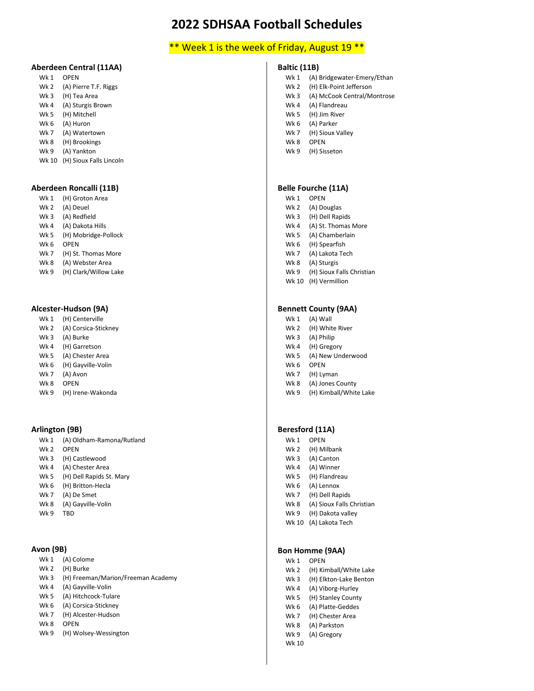### \*\* Week 1 is the week of Friday, August 19 \*\*

### **Aberdeen Central (11AA)**

| Wk 1  | OPEN                    |
|-------|-------------------------|
| Wk 2  | (A) Pierre T.F. Riggs   |
| Wk 3  | (H) Tea Area            |
| Wk 4  | (A) Sturgis Brown       |
| Wk 5  | (H) Mitchell            |
| Wk 6  | (A) Huron               |
| Wk 7  | (A) Watertown           |
| Wk 8  | (H) Brookings           |
| Wk 9  | (A) Yankton             |
| Wk 10 | (H) Sioux Falls Lincoln |
|       |                         |

#### **Aberdeen Roncalli (11B)**

| Wk 1            | (H) Groton Area       |
|-----------------|-----------------------|
| Wk 2            | (A) Deuel             |
| Wk <sub>3</sub> | (A) Redfield          |
| Wk 4            | (A) Dakota Hills      |
| Wk 5            | (H) Mobridge-Pollock  |
| Wk 6            | OPEN                  |
| Wk 7            | (H) St. Thomas More   |
| Wk 8            | (A) Webster Area      |
| Wk 9            | (H) Clark/Willow Lake |
|                 |                       |

#### **Alcester-Hudson (9A)**

| Wk 1            | (H) Centerville      |
|-----------------|----------------------|
| Wk <sub>2</sub> | (A) Corsica-Stickney |
| Wk <sub>3</sub> | (A) Burke            |
| Wk4             | (H) Garretson        |
| Wk <sub>5</sub> | (A) Chester Area     |
| Wk 6            | (H) Gayville-Volin   |

- Wk 7 (A) Avon
- Wk 8 OPEN
- Wk 9 (H) Irene-Wakonda

### **Arlington (9B)**

| Wk 1            | (A) Oldham-Ramona/Rutland |
|-----------------|---------------------------|
| Wk <sub>2</sub> | <b>OPEN</b>               |
| Wk 3            | (H) Castlewood            |
| Wk 4            | (A) Chester Area          |
| Wk 5            | (H) Dell Rapids St. Mary  |
| Wk 6            | (H) Britton-Hecla         |
| Wk 7            | (A) De Smet               |
| Wk 8            | (A) Gayville-Volin        |
| Wk 9            | TBD                       |

#### **Avon (9B)**

| Wk <sub>1</sub> | (A) Colome |
|-----------------|------------|
| Wk 2            | (H) Burke  |

- Wk 3 (H) Freeman/Marion/Freeman Academy
- Wk 4 (A) Gayville-Volin
- Wk 5 (A) Hitchcock-Tulare
- Wk 6 (A) Corsica-Stickney
- Wk 7 (H) Alcester-Hudson
- Wk 8 OPEN
- Wk 9 (H) Wolsey-Wessington

#### **Baltic (11B)**

- Wk 1 (A) Bridgewater-Emery/Ethan
- Wk 2 (H) Elk-Point Jefferson
- Wk 3 (A) McCook Central/Montrose
- Wk 4 (A) Flandreau
- Wk 5 (H) Jim River
- Wk 6 (A) Parker
- Wk 7 (H) Sioux Valley
- Wk 8 OPEN
- Wk 9 (H) Sisseton

#### **Belle Fourche (11A)**

- Wk 1 OPEN
- Wk 2 (A) Douglas
- Wk 3 (H) Dell Rapids
- Wk 4 (A) St. Thomas More
- Wk 5 (A) Chamberlain
- Wk 6 (H) Spearfish
- Wk 7 (A) Lakota Tech
- Wk 8 (A) Sturgis
- Wk 9 (H) Sioux Falls Christian
- Wk 10 (H) Vermillion

#### **Bennett County (9AA)**

- Wk 1 (A) Wall
- Wk 2 (H) White River
- Wk 3 (A) Philip
- Wk 4 (H) Gregory
- Wk 5 (A) New Underwood
- Wk 6 OPEN
- Wk 7 (H) Lyman
- Wk 8 (A) Jones County Wk 9 (H) Kimball/White Lake
- 

#### **Beresford (11A)**

- Wk 1 OPEN Wk 2 (H) Milbank
- Wk 3 (A) Canton
- Wk 4 (A) Winner
- Wk 5 (H) Flandreau
- Wk 6 (A) Lennox
- Wk 7 (H) Dell Rapids
- Wk 8 (A) Sioux Falls Christian
- Wk 9 (H) Dakota valley Wk 10 (A) Lakota Tech

#### **Bon Homme (9AA)**

| Wk 1 | <b>OPEN</b>            |
|------|------------------------|
| Wk 2 | (H) Kimball/White Lake |

- Wk 3 (H) Elkton-Lake Benton
- Wk 4 (A) Viborg-Hurley
- Wk 5 (H) Stanley County
- Wk 6 (A) Platte-Geddes
- Wk 7 (H) Chester Area
- Wk 8 (A) Parkston
- Wk 9 (A) Gregory

# Wk 10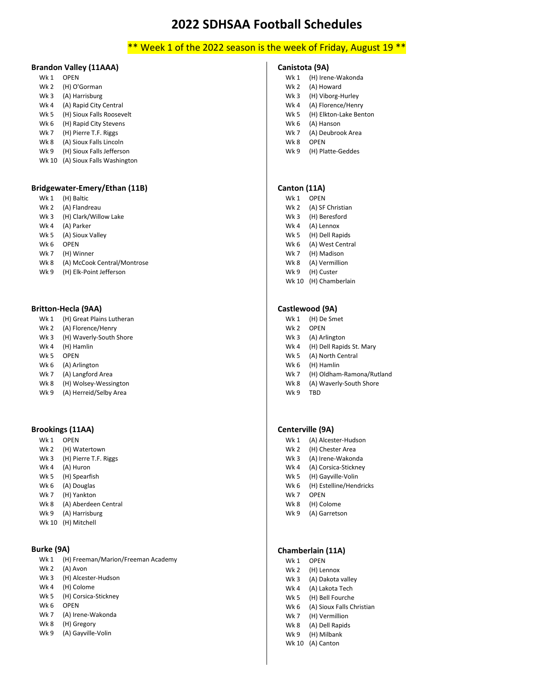# \*\* Week 1 of the 2022 season is the week of Friday, August 19 \*\*

### **Brandon Valley (11AAA)**

| Wk 1            | OPEN                      |
|-----------------|---------------------------|
| Wk 2            | (H) O'Gorman              |
| Wk <sub>3</sub> | (A) Harrisburg            |
| Wk 4            | (A) Rapid City Central    |
| Wk 5            | (H) Sioux Falls Roosevelt |
| Wk 6            | (H) Rapid City Stevens    |
| Wk 7            | (H) Pierre T.F. Riggs     |
| Wk 8            | (A) Sioux Falls Lincoln   |
| Wk 9            | (H) Sioux Falls Jefferson |

Wk 10 (A) Sioux Falls Washington

#### **Bridgewater-Emery/Ethan (11B)**

- Wk 1 (H) Baltic
- Wk 2 (A) Flandreau
- Wk 3 (H) Clark/Willow Lake
- Wk 4 (A) Parker
- Wk 5 (A) Sioux Valley
- Wk 6 OPEN
- Wk 7 (H) Winner
- Wk 8 (A) McCook Central/Montrose
- Wk 9 (H) Elk-Point Jefferson

#### **Britton-Hecla (9AA)**

- Wk 1 (H) Great Plains Lutheran
- Wk 2 (A) Florence/Henry
- Wk 3 (H) Waverly-South Shore
- Wk 4 (H) Hamlin
- Wk 5 OPEN
- Wk 6 (A) Arlington
- Wk 7 (A) Langford Area
- Wk 8 (H) Wolsey-Wessington
- Wk 9 (A) Herreid/Selby Area

#### **Brookings (11AA)**

- Wk 1 OPEN Wk 2 (H) Watertown Wk 3 (H) Pierre T.F. Riggs
- Wk 4 (A) Huron
- Wk 5 (H) Spearfish
- Wk 6 (A) Douglas
- Wk 7 (H) Yankton
- Wk 8 (A) Aberdeen Central
- Wk 9 (A) Harrisburg
- Wk 10 (H) Mitchell

#### **Burke (9A)**

| Wk 1 (H) Freeman/Marion/Freeman Academy |
|-----------------------------------------|
| Wk 2 (A) Avon                           |

- Wk 3 (H) Alcester-Hudson
- Wk 4 (H) Colome
- Wk 5 (H) Corsica-Stickney
- Wk 6 OPEN
- Wk 7 (A) Irene-Wakonda
- Wk 8 (H) Gregory
- Wk 9 (A) Gayville-Volin

#### **Canistota (9A)**

- Wk 1 (H) Irene-Wakonda
- Wk 2 (A) Howard
- Wk 3 (H) Viborg-Hurley
- Wk 4 (A) Florence/Henry
- Wk 5 (H) Elkton-Lake Benton
- Wk 6 (A) Hanson
- Wk 7 (A) Deubrook Area
- Wk 8 OPEN
- Wk 9 (H) Platte-Geddes

#### **Canton (11A)**

- Wk 1 OPEN
- Wk 2 (A) SF Christian
- Wk 3 (H) Beresford
- Wk 4 (A) Lennox
- Wk 5 (H) Dell Rapids
- Wk 6 (A) West Central
- Wk 7 (H) Madison
- Wk 8 (A) Vermillion
- Wk 9 (H) Custer
- Wk 10 (H) Chamberlain

#### **Castlewood (9A)**

- Wk 1 (H) De Smet
- Wk 2 OPEN
- Wk 3 (A) Arlington
- Wk 4 (H) Dell Rapids St. Mary
- Wk 5 (A) North Central
- Wk 6 (H) Hamlin
- Wk 7 (H) Oldham-Ramona/Rutland
- Wk 8 (A) Waverly-South Shore
- Wk 9 TRD

#### **Centerville (9A)**

- Wk 1 (A) Alcester-Hudson
- Wk 2 (H) Chester Area
- Wk 3 (A) Irene-Wakonda
- Wk 4 (A) Corsica-Stickney
- Wk 5 (H) Gayville-Volin
- Wk 6 (H) Estelline/Hendricks
- Wk 7 OPEN
- Wk 8 (H) Colome
- Wk 9 (A) Garretson

#### **Chamberlain (11A)**

- Wk 1 OPEN
- Wk 2 (H) Lennox
- Wk 3 (A) Dakota valley
- Wk 4 (A) Lakota Tech
- Wk 5 (H) Bell Fourche
- Wk 6 (A) Sioux Falls Christian
- Wk 7 (H) Vermillion Wk 8 (A) Dell Rapids
- 
- Wk 9 (H) Milbank
- Wk 10 (A) Canton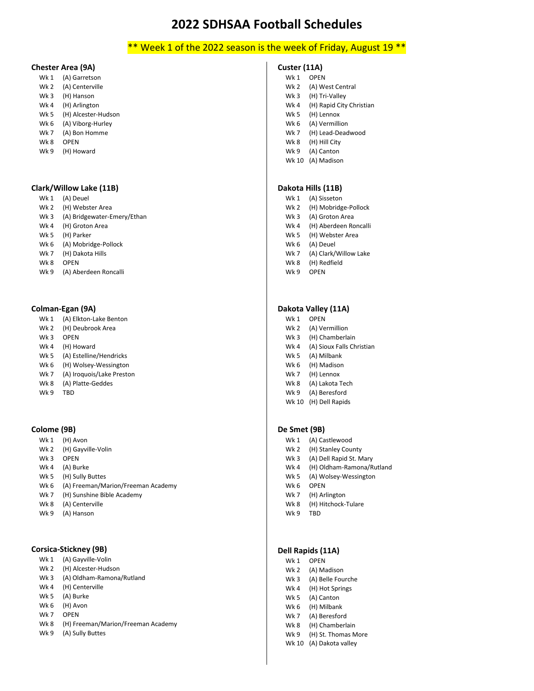# \*\* Week 1 of the 2022 season is the week of Friday, August 19 \*\*

### **Chester Area (9A)**

- Wk 1 (A) Garretson
- Wk 2 (A) Centerville
- Wk 3 (H) Hanson Wk 4 (H) Arlington
- Wk 5 (H) Alcester-Hudson
- Wk 6 (A) Viborg-Hurley
- Wk 7 (A) Bon Homme
- Wk 8 OPEN
- Wk 9 (H) Howard

#### **Clark/Willow Lake (11B)**

- Wk 1 (A) Deuel
- Wk 2 (H) Webster Area
- Wk 3 (A) Bridgewater-Emery/Ethan
- Wk 4 (H) Groton Area
- Wk 5 (H) Parker
- Wk 6 (A) Mobridge-Pollock
- Wk 7 (H) Dakota Hills
- Wk 8 OPEN
- Wk 9 (A) Aberdeen Roncalli

#### **Colman-Egan (9A)**

- Wk 1 (A) Elkton-Lake Benton
- Wk 2 (H) Deubrook Area
- Wk 3 OPEN
- Wk 4 (H) Howard
- Wk 5 (A) Estelline/Hendricks
- Wk 6 (H) Wolsey-Wessington
- Wk 7 (A) Iroquois/Lake Preston
- Wk 8 (A) Platte-Geddes
- Wk 9 TRD

#### **Colome (9B)**

- Wk 1 (H) Avon
- Wk 2 (H) Gayville-Volin
- Wk 3 OPEN
- Wk 4 (A) Burke
- Wk 5 (H) Sully Buttes
- Wk 6 (A) Freeman/Marion/Freeman Academy
- Wk 7 (H) Sunshine Bible Academy
- Wk 8 (A) Centerville
- Wk 9 (A) Hanson

#### **Corsica-Stickney (9B)**

- Wk 1 (A) Gayville-Volin
- Wk 2 (H) Alcester-Hudson
- Wk 3 (A) Oldham-Ramona/Rutland
- Wk 4 (H) Centerville
- Wk 5 (A) Burke
- Wk 6 (H) Avon
- Wk 7 OPEN
- Wk 8 (H) Freeman/Marion/Freeman Academy
- Wk 9 (A) Sully Buttes

#### **Custer (11A)**

- Wk 1 OPFN Wk 2 (A) West Central Wk 3 (H) Tri-Valley Wk 4 (H) Rapid City Christian Wk 5 (H) Lennox Wk 6 (A) Vermillion Wk 7 (H) Lead-Deadwood Wk 8 (H) Hill City
- Wk 9 (A) Canton
- Wk 10 (A) Madison

### **Dakota Hills (11B)**

- Wk 1 (A) Sisseton
- Wk 2 (H) Mobridge-Pollock
- Wk 3 (A) Groton Area
- Wk 4 (H) Aberdeen Roncalli
- Wk 5 (H) Webster Area
- Wk 6 (A) Deuel
- Wk 7 (A) Clark/Willow Lake Wk 8 (H) Redfield
- Wk 9 OPEN

#### **Dakota Valley (11A)**

- Wk 1 OPEN
- Wk 2 (A) Vermillion
- Wk 3 (H) Chamberlain
- Wk 4 (A) Sioux Falls Christian
- Wk 5 (A) Milbank
- Wk 6 (H) Madison
- Wk 7 (H) Lennox
- Wk 8 (A) Lakota Tech
- Wk 9 (A) Beresford
- Wk 10 (H) Dell Rapids

#### **De Smet (9B)**

- Wk 1 (A) Castlewood
- Wk 2 (H) Stanley County
- Wk 3 (A) Dell Rapid St. Mary
- Wk 4 (H) Oldham-Ramona/Rutland
- Wk 5 (A) Wolsey-Wessington
- Wk 6 OPEN
- Wk 7 (H) Arlington
- Wk 8 (H) Hitchock-Tulare
- Wk 9 TBD

# **Dell Rapids (11A)**

- Wk 1 OPEN
- Wk 2 (A) Madison
- Wk 3 (A) Belle Fourche
- Wk 4 (H) Hot Springs
- Wk 5 (A) Canton
- Wk 6 (H) Milbank
- Wk 7 (A) Beresford
- Wk 8 (H) Chamberlain
- Wk 9 (H) St. Thomas More
- Wk 10 (A) Dakota valley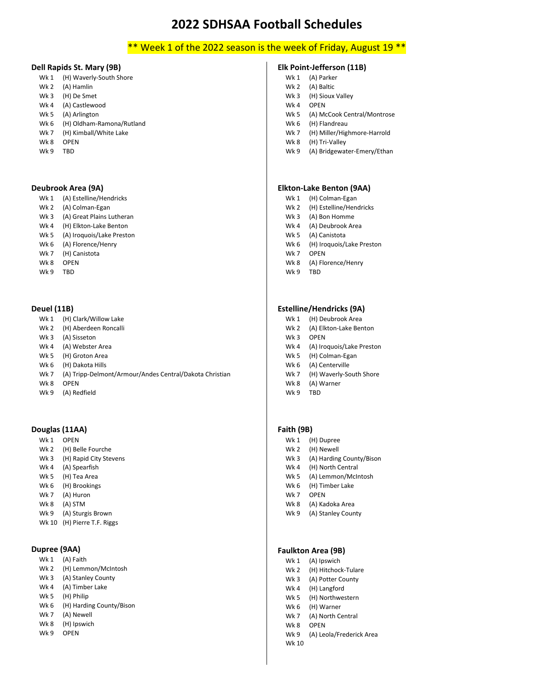# \*\* Week 1 of the 2022 season is the week of Friday, August 19 \*\*

#### **Dell Rapids St. Mary (9B)**

- Wk 1 (H) Waverly-South Shore Wk 2 (A) Hamlin
- Wk 3 (H) De Smet
- Wk 4 (A) Castlewood
- Wk 5 (A) Arlington
- Wk 6 (H) Oldham-Ramona/Rutland
- Wk 7 (H) Kimball/White Lake Wk 8 OPEN
- Wk 9 TBD

#### **Deubrook Area (9A)**

- Wk 1 (A) Estelline/Hendricks
- Wk 2 (A) Colman-Egan
- Wk 3 (A) Great Plains Lutheran
- Wk 4 (H) Elkton-Lake Benton
- Wk 5 (A) Iroquois/Lake Preston
- Wk 6 (A) Florence/Henry
- Wk 7 (H) Canistota
- Wk 8 OPEN
- Wk 9 TBD

#### **Deuel (11B)**

- Wk 1 (H) Clark/Willow Lake
- Wk 2 (H) Aberdeen Roncalli
- Wk 3 (A) Sisseton
- Wk 4 (A) Webster Area
- Wk 5 (H) Groton Area
- Wk 6 (H) Dakota Hills
- Wk 7 (A) Tripp-Delmont/Armour/Andes Central/Dakota Christian
- Wk 8 OPEN
- Wk 9 (A) Redfield

#### **Douglas (11AA)**

Wk 1 OPEN Wk 2 (H) Belle Fourche Wk 3 (H) Rapid City Stevens Wk 4 (A) Spearfish Wk 5 (H) Tea Area Wk 6 (H) Brookings Wk 7 (A) Huron Wk 8 (A) STM Wk 9 (A) Sturgis Brown Wk 10 (H) Pierre T.F. Riggs

### **Dupree (9AA)**

| Wk 1 | (A) Faith                |
|------|--------------------------|
| Wk 2 | (H) Lemmon/McIntosh      |
| Wk 3 | (A) Stanley County       |
| Wk 4 | (A) Timber Lake          |
| Wk 5 | (H) Philip               |
| Wk 6 | (H) Harding County/Bison |
| Wk 7 | (A) Newell               |
| Wk 8 | (H) Ipswich              |
| Wk 9 | OPFN                     |
|      |                          |

### **Elk Point-Jefferson (11B)**

- Wk 1 (A) Parker
- Wk 2 (A) Baltic
- Wk 3 (H) Sioux Valley
- Wk 4 OPEN
- Wk 5 (A) McCook Central/Montrose
- Wk 6 (H) Flandreau
- Wk 7 (H) Miller/Highmore-Harrold
- Wk 8 (H) Tri-Valley
- Wk 9 (A) Bridgewater-Emery/Ethan

#### **Elkton-Lake Benton (9AA)**

- Wk 1 (H) Colman-Egan
- Wk 2 (H) Estelline/Hendricks
- Wk 3 (A) Bon Homme
- Wk 4 (A) Deubrook Area
- Wk 5 (A) Canistota
- Wk 6 (H) Iroquois/Lake Preston
- Wk 7 OPEN
- Wk 8 (A) Florence/Henry
- Wk 9 TBD

#### **Estelline/Hendricks (9A)**

- Wk 1 (H) Deubrook Area
- Wk 2 (A) Elkton-Lake Benton
- Wk 3 OPEN
- Wk 4 (A) Iroquois/Lake Preston
- Wk 5 (H) Colman-Egan
- Wk 6 (A) Centerville
- Wk 7 (H) Waverly-South Shore
- Wk 8 (A) Warner Wk 9 TRD
- 

#### **Faith (9B)**

- Wk 1 (H) Dupree
- Wk 2 (H) Newell
- Wk 3 (A) Harding County/Bison
- Wk 4 (H) North Central
- Wk 5 (A) Lemmon/McIntosh
- Wk 6 (H) Timber Lake
- Wk 7 OPEN
- Wk 8 (A) Kadoka Area Wk 9 (A) Stanley County

#### **Faulkton Area (9B)**

- Wk 1 (A) Ipswich
- Wk 2 (H) Hitchock-Tulare
- Wk 3 (A) Potter County
- Wk 4 (H) Langford
- Wk 5 (H) Northwestern
- Wk 6 (H) Warner
- Wk 7 (A) North Central Wk 8 OPEN
- 
- Wk 9 (A) Leola/Frederick Area
- Wk 10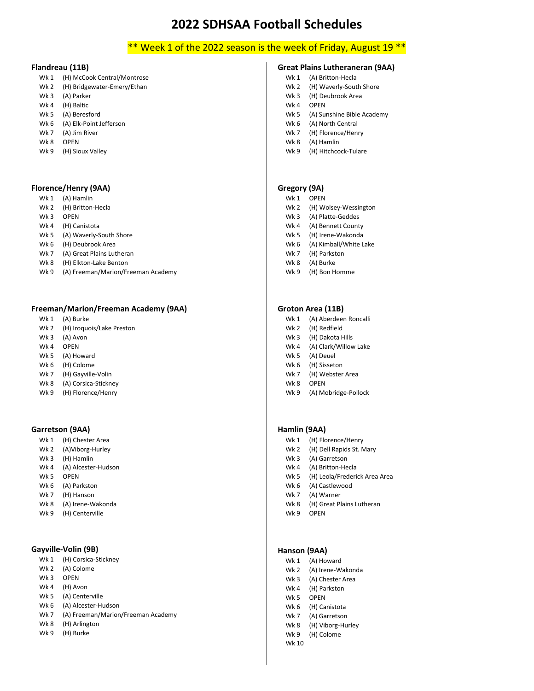# \*\* Week 1 of the 2022 season is the week of Friday, August 19 \*\*

### **Flandreau (11B)**

- Wk 1 (H) McCook Central/Montrose
- Wk 2 (H) Bridgewater-Emery/Ethan
- Wk 3 (A) Parker
- Wk 4 (H) Baltic Wk 5 (A) Beresford
- Wk 6 (A) Elk-Point Jefferson
- Wk 7 (A) Jim River
- Wk 8 OPEN
- Wk 9 (H) Sioux Valley

#### **Florence/Henry (9AA)**

- Wk 1 (A) Hamlin
- Wk 2 (H) Britton-Hecla
- Wk 3 OPEN
- Wk 4 (H) Canistota
- Wk 5 (A) Waverly-South Shore
- Wk 6 (H) Deubrook Area
- Wk 7 (A) Great Plains Lutheran
- Wk 8 (H) Elkton-Lake Benton
- Wk 9 (A) Freeman/Marion/Freeman Academy

#### **Freeman/Marion/Freeman Academy (9AA)**

- Wk 1 (A) Burke
- Wk 2 (H) Iroquois/Lake Preston
- Wk 3 (A) Avon
- Wk 4 OPEN
- Wk 5 (A) Howard
- Wk 6 (H) Colome
- Wk 7 (H) Gayville-Volin
- Wk 8 (A) Corsica-Stickney
- Wk 9 (H) Florence/Henry

#### **Garretson (9AA)**

- Wk 1 (H) Chester Area
- Wk 2 (A)Viborg-Hurley
- Wk 3 (H) Hamlin
- Wk 4 (A) Alcester-Hudson
- Wk 5 OPEN
- Wk 6 (A) Parkston
- Wk 7 (H) Hanson
- Wk 8 (A) Irene-Wakonda
- Wk 9 (H) Centerville

#### **Gayville-Volin (9B)**

| Wk 1            | (H) Corsica-Stickney               |
|-----------------|------------------------------------|
| Wk <sub>2</sub> | (A) Colome                         |
| Wk <sub>3</sub> | OPFN                               |
| Wk 4            | (H) Avon                           |
| <b>Wk 5</b>     | (A) Centerville                    |
| Wk 6            | (A) Alcester-Hudson                |
| Wk 7            | (A) Freeman/Marion/Freeman Academy |
| Wk 8            | (H) Arlington                      |
| Wk 9            | (H) Burke                          |
|                 |                                    |

### **Great Plains Lutheraneran (9AA)**

- Wk 1 (A) Britton-Hecla
- Wk 2 (H) Waverly-South Shore
- Wk 3 (H) Deubrook Area
- Wk 4 OPEN
- Wk 5 (A) Sunshine Bible Academy
- Wk 6 (A) North Central
- Wk 7 (H) Florence/Henry
- Wk 8 (A) Hamlin
- Wk 9 (H) Hitchcock-Tulare

#### **Gregory (9A)**

- Wk 1 OPEN
- Wk 2 (H) Wolsey-Wessington
- Wk 3 (A) Platte-Geddes
- Wk 4 (A) Bennett County
- Wk 5 (H) Irene-Wakonda
- Wk 6 (A) Kimball/White Lake
- Wk 7 (H) Parkston Wk 8 (A) Burke
- 
- Wk 9 (H) Bon Homme

### **Groton Area (11B)**

- Wk 1 (A) Aberdeen Roncalli
- Wk 2 (H) Redfield
- Wk 3 (H) Dakota Hills
- Wk 4 (A) Clark/Willow Lake
- Wk 5 (A) Deuel
- Wk 6 (H) Sisseton
- Wk 7 (H) Webster Area
- Wk 8 OPEN
- Wk 9 (A) Mobridge-Pollock

#### **Hamlin (9AA)**

- Wk 1 (H) Florence/Henry
- Wk 2 (H) Dell Rapids St. Mary
- Wk 3 (A) Garretson
- Wk 4 (A) Britton-Hecla
- Wk 5 (H) Leola/Frederick Area Area
- Wk 6 (A) Castlewood
- Wk 7 (A) Warner
- Wk 8 (H) Great Plains Lutheran
- Wk 9 OPEN

### **Hanson (9AA)**

- Wk 1 (A) Howard
- Wk 2 (A) Irene-Wakonda
- Wk 3 (A) Chester Area Wk 4 (H) Parkston
- W<sub>k</sub> 5 OPFN
- Wk 6 (H) Canistota
- Wk 7 (A) Garretson
- Wk 8 (H) Viborg-Hurley
- Wk 9 (H) Colome
- Wk 10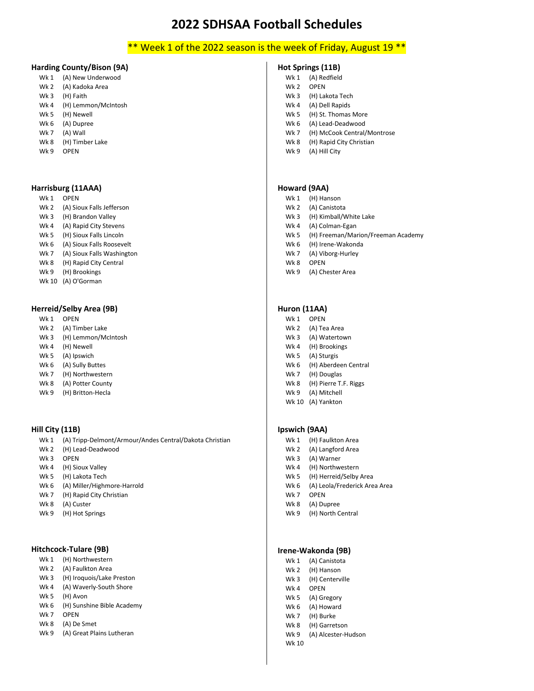# \*\* Week 1 of the 2022 season is the week of Friday, August 19 \*\*

#### **Harding County/Bison (9A)**

- Wk 1 (A) New Underwood Wk 2 (A) Kadoka Area Wk 3 (H) Faith
- Wk 4 (H) Lemmon/McIntosh
- Wk 5 (H) Newell
- Wk 6 (A) Dupree
- Wk 7 (A) Wall
- Wk 8 (H) Timber Lake
- W<sub>k</sub> 9 OPEN

#### **Harrisburg (11AAA)**

- Wk 1 OPEN
- Wk 2 (A) Sioux Falls Jefferson
- Wk 3 (H) Brandon Valley
- Wk 4 (A) Rapid City Stevens
- Wk 5 (H) Sioux Falls Lincoln
- Wk 6 (A) Sioux Falls Roosevelt
- Wk 7 (A) Sioux Falls Washington
- Wk 8 (H) Rapid City Central
- Wk 9 (H) Brookings
- Wk 10 (A) O'Gorman

#### **Herreid/Selby Area (9B)**

- Wk 1 OPEN
- Wk 2 (A) Timber Lake
- Wk 3 (H) Lemmon/McIntosh
- Wk 4 (H) Newell
- Wk 5 (A) Ipswich
- Wk 6 (A) Sully Buttes
- Wk 7 (H) Northwestern
- Wk 8 (A) Potter County
- Wk 9 (H) Britton-Hecla

#### **Hill City (11B)**

- Wk 1 (A) Tripp-Delmont/Armour/Andes Central/Dakota Christian Wk 2 (H) Lead-Deadwood Wk 3 OPEN
- Wk 4 (H) Sioux Valley
- Wk 5 (H) Lakota Tech Wk 6 (A) Miller/Highmore-Harrold
- Wk 7 (H) Rapid City Christian
- Wk 8 (A) Custer
- Wk 9 (H) Hot Springs

### **Hitchcock-Tulare (9B)**

- Wk 1 (H) Northwestern
- Wk 2 (A) Faulkton Area
- Wk 3 (H) Iroquois/Lake Preston
- Wk 4 (A) Waverly-South Shore
- Wk 5 (H) Avon
- Wk 6 (H) Sunshine Bible Academy
- Wk 7 OPEN
- Wk 8 (A) De Smet
- Wk 9 (A) Great Plains Lutheran

#### **Hot Springs (11B)**

- Wk 1 (A) Redfield
- Wk 2 OPEN
- Wk 3 (H) Lakota Tech
- Wk 4 (A) Dell Rapids
- Wk 5 (H) St. Thomas More
- Wk 6 (A) Lead-Deadwood
- Wk 7 (H) McCook Central/Montrose
- Wk 8 (H) Rapid City Christian
- Wk 9 (A) Hill City

#### **Howard (9AA)**

- Wk 1 (H) Hanson
- Wk 2 (A) Canistota
- Wk 3 (H) Kimball/White Lake
- Wk 4 (A) Colman-Egan
- Wk 5 (H) Freeman/Marion/Freeman Academy
- Wk 6 (H) Irene-Wakonda
- Wk 7 (A) Viborg-Hurley
- Wk 8 OPEN
- Wk 9 (A) Chester Area

#### **Huron (11AA)**

- Wk 1 OPEN
- Wk 2 (A) Tea Area
- Wk 3 (A) Watertown
- Wk 4 (H) Brookings
- Wk 5 (A) Sturgis
- Wk 6 (H) Aberdeen Central
- Wk 7 (H) Douglas
- Wk 8 (H) Pierre T.F. Riggs
- Wk 9 (A) Mitchell Wk 10 (A) Yankton

#### **Ipswich (9AA)**

- Wk 1 (H) Faulkton Area
- Wk 2 (A) Langford Area
- Wk 3 (A) Warner
- Wk 4 (H) Northwestern
- Wk 5 (H) Herreid/Selby Area
- Wk 6 (A) Leola/Frederick Area Area
- Wk 7 OPEN
- Wk 8 (A) Dupree Wk 9 (H) North Central

#### **Irene-Wakonda (9B)**

- Wk 1 (A) Canistota
- Wk 2 (H) Hanson
- Wk 3 (H) Centerville
- Wk 4 OPEN
- Wk 5 (A) Gregory Wk 6 (A) Howard
- Wk 7 (H) Burke
- Wk 8 (H) Garretson
- Wk 9 (A) Alcester-Hudson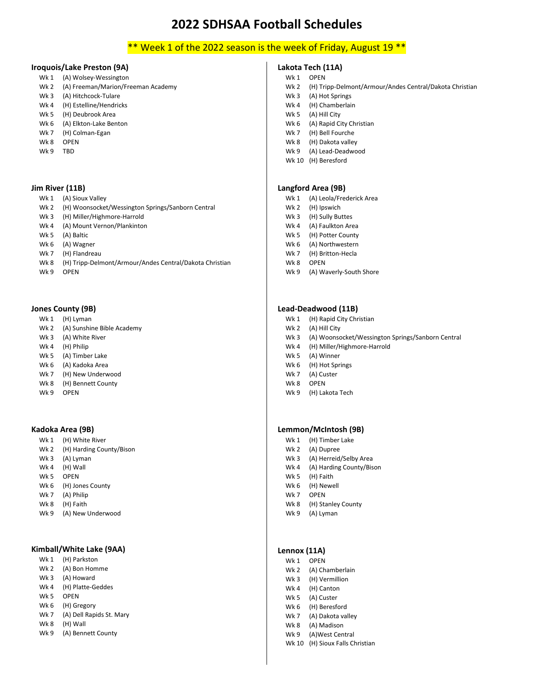# \*\* Week 1 of the 2022 season is the week of Friday, August 19 \*\*

#### **Iroquois/Lake Preston (9A)**

- Wk 1 (A) Wolsey-Wessington
- Wk 2 (A) Freeman/Marion/Freeman Academy
- Wk 3 (A) Hitchcock-Tulare
- Wk 4 (H) Estelline/Hendricks
- Wk 5 (H) Deubrook Area
- Wk 6 (A) Elkton-Lake Benton
- Wk 7 (H) Colman-Egan
- Wk 8 OPEN
- Wk 9 TBD

#### **Jim River (11B)**

- Wk 1 (A) Sioux Valley
- Wk 2 (H) Woonsocket/Wessington Springs/Sanborn Central
- Wk 3 (H) Miller/Highmore-Harrold
- Wk 4 (A) Mount Vernon/Plankinton
- Wk 5 (A) Baltic
- Wk 6 (A) Wagner
- Wk 7 (H) Flandreau
- Wk 8 (H) Tripp-Delmont/Armour/Andes Central/Dakota Christian
- Wk 9 OPEN

#### **Jones County (9B)**

- Wk 1 (H) Lyman
- Wk 2 (A) Sunshine Bible Academy
- Wk 3 (A) White River
- Wk 4 (H) Philip
- Wk 5 (A) Timber Lake
- Wk 6 (A) Kadoka Area
- Wk 7 (H) New Underwood
- Wk 8 (H) Bennett County
- Wk 9 OPFN

#### **Kadoka Area (9B)**

- Wk 1 (H) White River Wk 2 (H) Harding County/Bison
- Wk 3 (A) Lyman
- Wk 4 (H) Wall
- Wk 5 OPEN
- Wk 6 (H) Jones County
- Wk 7 (A) Philip
- Wk 8 (H) Faith
- Wk 9 (A) New Underwood

#### **Kimball/White Lake (9AA)**

- Wk 1 (H) Parkston
- Wk 2 (A) Bon Homme
- Wk 3 (A) Howard
- Wk 4 (H) Platte-Geddes
- Wk 5 OPEN
- Wk 6 (H) Gregory
- Wk 7 (A) Dell Rapids St. Mary
- Wk 8 (H) Wall
- Wk 9 (A) Bennett County

### **Lakota Tech (11A)**

- Wk 1 OPFN
- Wk 2 (H) Tripp-Delmont/Armour/Andes Central/Dakota Christian
- Wk 3 (A) Hot Springs
- Wk 4 (H) Chamberlain
- Wk 5 (A) Hill City
- Wk 6 (A) Rapid City Christian
- Wk 7 (H) Bell Fourche
- Wk 8 (H) Dakota valley
- Wk 9 (A) Lead-Deadwood
- Wk 10 (H) Beresford

#### **Langford Area (9B)**

- Wk 1 (A) Leola/Frederick Area
- Wk 2 (H) Ipswich
- Wk 3 (H) Sully Buttes
- Wk 4 (A) Faulkton Area
- Wk 5 (H) Potter County
- Wk 6 (A) Northwestern
- Wk 7 (H) Britton-Hecla
- Wk 8 OPEN
- Wk 9 (A) Waverly-South Shore

#### **Lead-Deadwood (11B)**

- Wk 1 (H) Rapid City Christian
- Wk 2 (A) Hill City
- Wk 3 (A) Woonsocket/Wessington Springs/Sanborn Central
- Wk 4 (H) Miller/Highmore-Harrold
- Wk 5 (A) Winner
- Wk 6 (H) Hot Springs
- Wk 7 (A) Custer
- Wk 8 OPEN
- Wk 9 (H) Lakota Tech

#### **Lemmon/McIntosh (9B)**

- Wk 1 (H) Timber Lake
- Wk 2 (A) Dupree
- Wk 3 (A) Herreid/Selby Area
- Wk 4 (A) Harding County/Bison
- Wk 5 (H) Faith
- Wk 6 (H) Newell
- Wk 7 OPEN
- Wk 8 (H) Stanley County
- Wk 9 (A) Lyman

### **Lennox (11A)**

- Wk 1 OPEN
- Wk 2 (A) Chamberlain
- Wk 3 (H) Vermillion Wk 4 (H) Canton
- Wk 5 (A) Custer
- Wk 6 (H) Beresford
- Wk 7 (A) Dakota valley

Wk 9 (A)West Central Wk 10 (H) Sioux Falls Christian

Wk 8 (A) Madison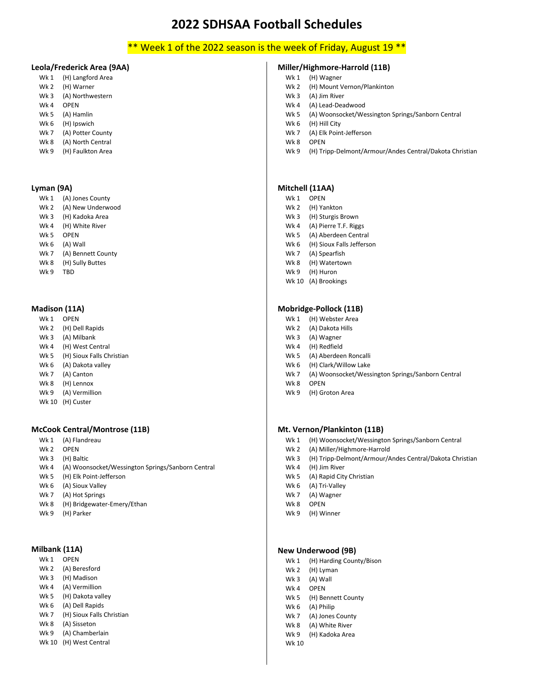# \*\* Week 1 of the 2022 season is the week of Friday, August 19 \*\*

#### **Leola/Frederick Area (9AA)**

- Wk 1 (H) Langford Area Wk 2 (H) Warner
- Wk 3 (A) Northwestern
- Wk 4 OPEN
- Wk 5 (A) Hamlin
- Wk 6 (H) Ipswich
- Wk 7 (A) Potter County Wk 8 (A) North Central
- Wk 9 (H) Faulkton Area

#### **Lyman (9A)**

- Wk 1 (A) Jones County Wk 2 (A) New Underwood Wk 3 (H) Kadoka Area Wk 4 (H) White River Wk 5 OPEN Wk 6 (A) Wall Wk 7 (A) Bennett County Wk 8 (H) Sully Buttes
- Wk 9 TBD

#### **Madison (11A)**

- Wk 1 OPEN
- Wk 2 (H) Dell Rapids
- Wk 3 (A) Milbank
- Wk 4 (H) West Central
- Wk 5 (H) Sioux Falls Christian
- Wk 6 (A) Dakota valley
- Wk 7 (A) Canton
- Wk 8 (H) Lennox
- Wk 9 (A) Vermillion
- Wk 10 (H) Custer

#### **McCook Central/Montrose (11B)**

- Wk 1 (A) Flandreau
- Wk 2 OPEN
- Wk 3 (H) Baltic
- Wk 4 (A) Woonsocket/Wessington Springs/Sanborn Central
- Wk 5 (H) Elk Point-Jefferson
- Wk 6 (A) Sioux Valley
- Wk 7 (A) Hot Springs
- Wk 8 (H) Bridgewater-Emery/Ethan
- Wk 9 (H) Parker

#### **Milbank (11A)**

- Wk 1 OPEN
- Wk 2 (A) Beresford
- Wk 3 (H) Madison
- Wk 4 (A) Vermillion
- Wk 5 (H) Dakota valley
- Wk 6 (A) Dell Rapids
- Wk 7 (H) Sioux Falls Christian
- Wk 8 (A) Sisseton Wk 9 (A) Chamberlain
- Wk 10 (H) West Central
- Wk 2 (H) Mount Vernon/Plankinton Wk 3 (A) Jim River
	- Wk 4 (A) Lead-Deadwood

**Miller/Highmore-Harrold (11B)**

- Wk 5 (A) Woonsocket/Wessington Springs/Sanborn Central
- Wk 6 (H) Hill City

Wk 1 (H) Wagner

- Wk 7 (A) Elk Point-Jefferson
- Wk 8 OPEN
- Wk 9 (H) Tripp-Delmont/Armour/Andes Central/Dakota Christian

#### **Mitchell (11AA)**

- Wk 1 OPEN
- Wk 2 (H) Yankton
- Wk 3 (H) Sturgis Brown
- Wk 4 (A) Pierre T.F. Riggs
- Wk 5 (A) Aberdeen Central
- Wk 6 (H) Sioux Falls Jefferson
- Wk 7 (A) Spearfish
- Wk 8 (H) Watertown
- Wk 9 (H) Huron
- Wk 10 (A) Brookings

#### **Mobridge-Pollock (11B)**

- Wk 1 (H) Webster Area
- Wk 2 (A) Dakota Hills
- Wk 3 (A) Wagner
- Wk 4 (H) Redfield
- Wk 5 (A) Aberdeen Roncalli
- Wk 6 (H) Clark/Willow Lake
- Wk 7 (A) Woonsocket/Wessington Springs/Sanborn Central
- Wk 8 OPEN
- Wk 9 (H) Groton Area

#### **Mt. Vernon/Plankinton (11B)**

- Wk 1 (H) Woonsocket/Wessington Springs/Sanborn Central
- Wk 2 (A) Miller/Highmore-Harrold
- Wk 3 (H) Tripp-Delmont/Armour/Andes Central/Dakota Christian
- Wk 4 (H) Jim River
- Wk 5 (A) Rapid City Christian
- Wk 6 (A) Tri-Valley
- Wk 7 (A) Wagner
- Wk 8 OPEN
- Wk 9 (H) Winner

### **New Underwood (9B)**

- Wk 1 (H) Harding County/Bison
- Wk 2 (H) Lyman
- Wk 3 (A) Wall
- Wk 4 OPEN
- Wk 5 (H) Bennett County
- Wk 6 (A) Philip
- Wk 7 (A) Jones County
- Wk 8 (A) White River Wk 9 (H) Kadoka Area
- Wk 10
- -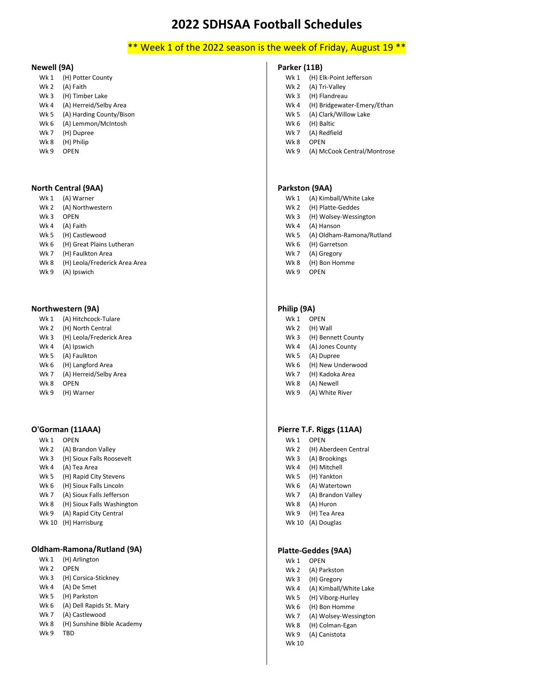# \*\* Week 1 of the 2022 season is the week of Friday, August 19 \*\*

#### **Newell (9A)**

- Wk 1 (H) Potter County
- Wk 2 (A) Faith
- Wk 3 (H) Timber Lake
- Wk 4 (A) Herreid/Selby Area
- Wk 5 (A) Harding County/Bison
- Wk 6 (A) Lemmon/McIntosh
- Wk 7 (H) Dupree
- Wk 8 (H) Philip
- W<sub>k</sub> 9 OPEN

#### **North Central (9AA)**

- Wk 1 (A) Warner
- Wk 2 (A) Northwestern
- Wk 3 OPEN
- Wk 4 (A) Faith
- Wk 5 (H) Castlewood
- Wk 6 (H) Great Plains Lutheran
- Wk 7 (H) Faulkton Area
- Wk 8 (H) Leola/Frederick Area Area
- Wk 9 (A) Ipswich

#### **Northwestern (9A)**

- Wk 1 (A) Hitchcock-Tulare
- Wk 2 (H) North Central
- Wk 3 (H) Leola/Frederick Area
- Wk 4 (A) Ipswich
- Wk 5 (A) Faulkton
- Wk 6 (H) Langford Area
- Wk 7 (A) Herreid/Selby Area
- Wk 8 OPEN
- Wk 9 (H) Warner

#### **O'Gorman (11AAA)**

- Wk 1 OPEN
- Wk 2 (A) Brandon Valley
- Wk 3 (H) Sioux Falls Roosevelt
- Wk 4 (A) Tea Area
- Wk 5 (H) Rapid City Stevens
- Wk 6 (H) Sioux Falls Lincoln
- Wk 7 (A) Sioux Falls Jefferson
- Wk 8 (H) Sioux Falls Washington
- Wk 9 (A) Rapid City Central
- Wk 10 (H) Harrisburg

### **Oldham-Ramona/Rutland (9A)**

- Wk 1 (H) Arlington Wk 2 OPEN Wk 3 (H) Corsica-Stickney Wk 4 (A) De Smet Wk 5 (H) Parkston Wk 6 (A) Dell Rapids St. Mary Wk 7 (A) Castlewood Wk 8 (H) Sunshine Bible Academy
- Wk 9 TBD

#### **Parker (11B)**

- Wk 1 (H) Elk-Point Jefferson
- Wk 2 (A) Tri-Valley
- Wk 3 (H) Flandreau
- Wk 4 (H) Bridgewater-Emery/Ethan
- Wk 5 (A) Clark/Willow Lake
- Wk 6 (H) Baltic
- Wk 7 (A) Redfield
- Wk 8 OPEN
- Wk 9 (A) McCook Central/Montrose

#### **Parkston (9AA)**

- Wk 1 (A) Kimball/White Lake
- Wk 2 (H) Platte-Geddes
- Wk 3 (H) Wolsey-Wessington
- Wk 4 (A) Hanson
- Wk 5 (A) Oldham-Ramona/Rutland
- Wk 6 (H) Garretson
- Wk 7 (A) Gregory
- Wk 8 (H) Bon Homme
- Wk 9 OPEN

#### **Philip (9A)**

- Wk 1 OPEN Wk 2 (H) Wall Wk 3 (H) Bennett County Wk 4 (A) Jones County Wk 5 (A) Dupree Wk 6 (H) New Underwood Wk 7 (H) Kadoka Area Wk 8 (A) Newell
- Wk 9 (A) White River

#### **Pierre T.F. Riggs (11AA)**

Wk 1 OPEN Wk 2 (H) Aberdeen Central Wk 3 (A) Brookings Wk 4 (H) Mitchell Wk 5 (H) Yankton Wk 6 (A) Watertown Wk 7 (A) Brandon Valley Wk 8 (A) Huron Wk 9 (H) Tea Area Wk 10 (A) Douglas

#### **Platte-Geddes (9AA)**

- Wk 1 OPEN Wk 2 (A) Parkston Wk 3 (H) Gregory Wk 4 (A) Kimball/White Lake Wk 5 (H) Viborg-Hurley Wk 6 (H) Bon Homme Wk 7 (A) Wolsey-Wessington Wk 8 (H) Colman-Egan
- Wk 9 (A) Canistota

#### Wk 10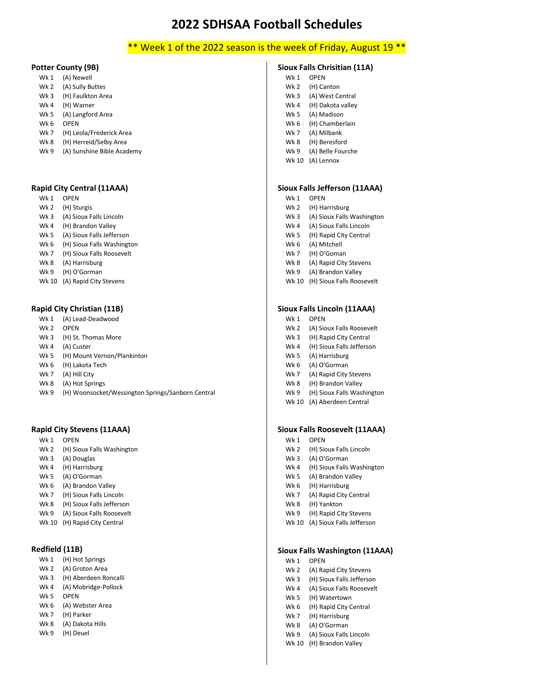# \*\* Week 1 of the 2022 season is the week of Friday, August 19 \*\*

#### **Potter County (9B)**

- Wk 1 (A) Newell
- Wk 2 (A) Sully Buttes
- Wk 3 (H) Faulkton Area
- Wk 4 (H) Warner
- Wk 5 (A) Langford Area
- Wk 6 OPEN
- Wk 7 (H) Leola/Frederick Area
- Wk 8 (H) Herreid/Selby Area
- Wk 9 (A) Sunshine Bible Academy

#### **Rapid City Central (11AAA)**

- Wk 1 OPEN
- Wk 2 (H) Sturgis
- Wk 3 (A) Sioux Falls Lincoln
- Wk 4 (H) Brandon Valley
- Wk 5 (A) Sioux Falls Jefferson
- Wk 6 (H) Sioux Falls Washington
- Wk 7 (H) Sioux Falls Roosevelt
- Wk 8 (A) Harrisburg
- Wk 9 (H) O'Gorman
- Wk 10 (A) Rapid City Stevens

#### **Rapid City Christian (11B)**

- Wk 1 (A) Lead-Deadwood
- Wk 2 OPFN
- Wk 3 (H) St. Thomas More
- Wk 4 (A) Custer
- Wk 5 (H) Mount Vernon/Plankinton
- Wk 6 (H) Lakota Tech
- Wk 7 (A) Hill City
- Wk 8 (A) Hot Springs
- Wk 9 (H) Woonsocket/Wessington Springs/Sanborn Central

#### **Rapid City Stevens (11AAA)**

- Wk 1 OPEN
- Wk 2 (H) Sioux Falls Washington
- Wk 3 (A) Douglas
- Wk 4 (H) Harrisburg
- Wk 5 (A) O'Gorman
- Wk 6 (A) Brandon Valley
- Wk 7 (H) Sioux Falls Lincoln
- Wk 8 (H) Sioux Falls Jefferson
- Wk 9 (A) Sioux Falls Roosevelt
- Wk 10 (H) Rapid City Central

#### **Redfield (11B)**

- Wk 1 (H) Hot Springs
- Wk 2 (A) Groton Area
- Wk 3 (H) Aberdeen Roncalli
- Wk 4 (A) Mobridge-Pollock
- Wk 5 OPEN
- Wk 6 (A) Webster Area
- Wk 7 (H) Parker Wk 8 (A) Dakota Hills
- Wk 9 (H) Deuel

# **Sioux Falls Chrisitian (11A)**

- Wk 1 OPFN
- Wk 2 (H) Canton
- Wk 3 (A) West Central
- Wk 4 (H) Dakota valley
- Wk 5 (A) Madison Wk 6 (H) Chamberlain
- Wk 7 (A) Milbank
- Wk 8 (H) Beresford
- Wk 9 (A) Belle Fourche
- Wk 10 (A) Lennox

#### **Sioux Falls Jefferson (11AAA)**

- Wk 1 OPEN
- Wk 2 (H) Harrisburg
- Wk 3 (A) Sioux Falls Washington
- Wk 4 (A) Sioux Falls Lincoln
- Wk 5 (H) Rapid City Central
- Wk 6 (A) Mitchell
- Wk 7 (H) O'Goman
- Wk 8 (A) Rapid City Stevens
- Wk 9 (A) Brandon Valley
- Wk 10 (H) Sioux Falls Roosevelt

#### **Sioux Falls Lincoln (11AAA)**

- Wk 1 OPEN
- Wk 2 (A) Sioux Falls Roosevelt
- Wk 3 (H) Rapid City Central
- Wk 4 (H) Sioux Falls Jefferson
- Wk 5 (A) Harrisburg
- Wk 6 (A) O'Gorman
- Wk 7 (A) Rapid City Stevens
- Wk 8 (H) Brandon Valley
- Wk 9 (H) Sioux Falls Washington
- Wk 10 (A) Aberdeen Central

#### **Sioux Falls Roosevelt (11AAA)**

- Wk 1 OPEN
- Wk 2 (H) Sioux Falls Lincoln
- Wk 3 (A) O'Gorman
- Wk 4 (H) Sioux Falls Washington
- Wk 5 (A) Brandon Valley
- Wk 6 (H) Harrisburg
- Wk 7 (A) Rapid City Central
- Wk 8 (H) Yankton
- Wk 9 (H) Rapid City Stevens
- Wk 10 (A) Sioux Falls Jefferson

#### **Sioux Falls Washington (11AAA)**

- Wk 1 OPEN
- Wk 2 (A) Rapid City Stevens
- Wk 3 (H) Sioux Falls Jefferson Wk 4 (A) Sioux Falls Roosevelt

Wk 5 (H) Watertown Wk 6 (H) Rapid City Central Wk 7 (H) Harrisburg Wk 8 (A) O'Gorman Wk 9 (A) Sioux Falls Lincoln Wk 10 (H) Brandon Valley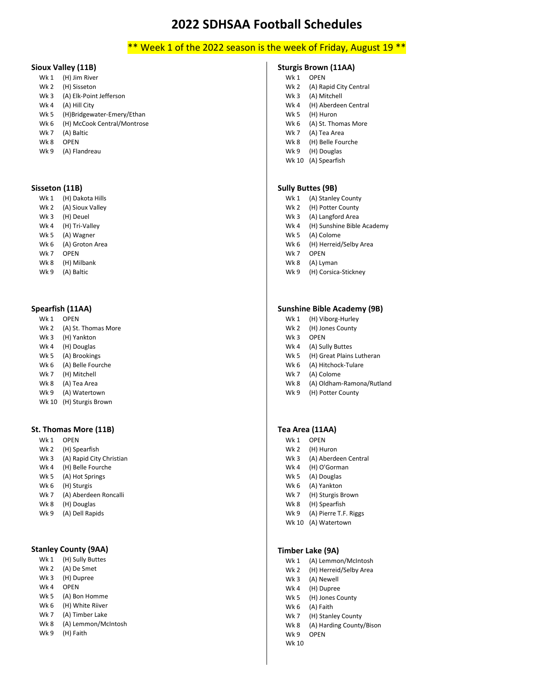# \*\* Week 1 of the 2022 season is the week of Friday, August 19 \*\*

#### **Sioux Valley (11B)**

- Wk 1 (H) Jim River Wk 2 (H) Sisseton
- Wk 3 (A) Elk-Point Jefferson
- Wk 4 (A) Hill City
- 
- Wk 5 (H)Bridgewater-Emery/Ethan Wk 6 (H) McCook Central/Montrose
- Wk 7 (A) Baltic
- Wk 8 OPEN
- 
- Wk 9 (A) Flandreau

#### **Sisseton (11B)**

- Wk 1 (H) Dakota Hills Wk 2 (A) Sioux Valley Wk 3 (H) Deuel
- Wk 4 (H) Tri-Valley
- Wk 5 (A) Wagner
- Wk 6 (A) Groton Area
- Wk 7 OPEN
- Wk 8 (H) Milbank
- Wk 9 (A) Baltic

#### **Spearfish (11AA)**

- Wk 1 OPEN
- Wk 2 (A) St. Thomas More
- Wk 3 (H) Yankton
- Wk 4 (H) Douglas
- Wk 5 (A) Brookings
- Wk 6 (A) Belle Fourche
- Wk 7 (H) Mitchell
- Wk 8 (A) Tea Area
- Wk 9 (A) Watertown
- Wk 10 (H) Sturgis Brown

#### **St. Thomas More (11B)**

- Wk 1 OPEN Wk 2 (H) Spearfish Wk 3 (A) Rapid City Christian Wk 4 (H) Belle Fourche Wk 5 (A) Hot Springs Wk 6 (H) Sturgis Wk 7 (A) Aberdeen Roncalli Wk 8 (H) Douglas
- Wk 9 (A) Dell Rapids

### **Stanley County (9AA)**

- Wk 1 (H) Sully Buttes
- Wk 2 (A) De Smet
- Wk 3 (H) Dupree
- Wk 4 OPEN Wk 5 (A) Bon Homme
- Wk 6 (H) White Riiver
- Wk 7 (A) Timber Lake
- Wk 8 (A) Lemmon/McIntosh
- Wk 9 (H) Faith

### **Sturgis Brown (11AA)**

- Wk 1 OPEN
	- Wk 2 (A) Rapid City Central
	- Wk 3 (A) Mitchell
	- Wk 4 (H) Aberdeen Central
	- Wk 5 (H) Huron
	- Wk 6 (A) St. Thomas More
	- Wk 7 (A) Tea Area
	- Wk 8 (H) Belle Fourche Wk 9 (H) Douglas
- Wk 10 (A) Spearfish

# **Sully Buttes (9B)**

- Wk 1 (A) Stanley County
- Wk 2 (H) Potter County
- Wk 3 (A) Langford Area
- Wk 4 (H) Sunshine Bible Academy
- Wk 5 (A) Colome
- Wk 6 (H) Herreid/Selby Area
- Wk 7 OPEN
- Wk 8 (A) Lyman
- Wk 9 (H) Corsica-Stickney

#### **Sunshine Bible Academy (9B)**

- Wk 1 (H) Viborg-Hurley
- Wk 2 (H) Jones County
- Wk 3 OPEN
- Wk 4 (A) Sully Buttes
- Wk 5 (H) Great Plains Lutheran
- Wk 6 (A) Hitchock-Tulare
- Wk 7 (A) Colome
- Wk 8 (A) Oldham-Ramona/Rutland
- Wk 9 (H) Potter County

#### **Tea Area (11AA)**

- Wk 1 OPEN
- Wk 2 (H) Huron
- Wk 3 (A) Aberdeen Central
- Wk 4 (H) O'Gorman Wk 5 (A) Douglas
- Wk 6 (A) Yankton
- Wk 7 (H) Sturgis Brown
- Wk 8 (H) Spearfish
- Wk 9 (A) Pierre T.F. Riggs
- Wk 10 (A) Watertown

### **Timber Lake (9A)**

- Wk 1 (A) Lemmon/McIntosh
- Wk 2 (H) Herreid/Selby Area
- Wk 3 (A) Newell
- Wk 4 (H) Dupree
- Wk 5 (H) Jones County
- Wk 6 (A) Faith
- Wk 7 (H) Stanley County
- Wk 8 (A) Harding County/Bison
- Wk 9 OPEN
- Wk 10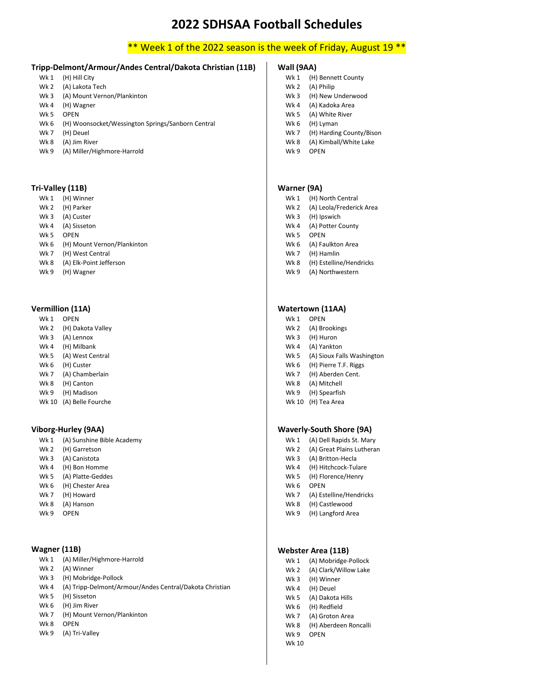# \*\* Week 1 of the 2022 season is the week of Friday, August 19 \*\*

# **Tripp-Delmont/Armour/Andes Central/Dakota Christian (11B)**

- Wk 1 (H) Hill City
- Wk 2 (A) Lakota Tech
- Wk 3 (A) Mount Vernon/Plankinton
- Wk 4 (H) Wagner
- Wk 5 OPEN
- Wk 6 (H) Woonsocket/Wessington Springs/Sanborn Central
- Wk 7 (H) Deuel
- Wk 8 (A) Jim River
- Wk 9 (A) Miller/Highmore-Harrold

#### **Tri-Valley (11B)**

- Wk 1 (H) Winner
- Wk 2 (H) Parker
- Wk 3 (A) Custer
- Wk 4 (A) Sisseton
- Wk 5 OPEN
- Wk 6 (H) Mount Vernon/Plankinton
- Wk 7 (H) West Central
- Wk 8 (A) Elk-Point Jefferson
- Wk 9 (H) Wagner

#### **Vermillion (11A)**

- Wk 1 OPEN
- Wk 2 (H) Dakota Valley
- Wk 3 (A) Lennox
- Wk 4 (H) Milbank
- Wk 5 (A) West Central
- Wk 6 (H) Custer
- Wk 7 (A) Chamberlain
- Wk 8 (H) Canton
- Wk 9 (H) Madison
- Wk 10 (A) Belle Fourche

#### **Viborg-Hurley (9AA)**

- Wk 1 (A) Sunshine Bible Academy
- Wk 2 (H) Garretson
- Wk 3 (A) Canistota
- Wk 4 (H) Bon Homme
- Wk 5 (A) Platte-Geddes
- Wk 6 (H) Chester Area
- Wk 7 (H) Howard
- Wk 8 (A) Hanson
- Wk 9 OPEN

#### **Wagner (11B)**

- Wk 1 (A) Miller/Highmore-Harrold
- Wk 2 (A) Winner
- Wk 3 (H) Mobridge-Pollock
- Wk 4 (A) Tripp-Delmont/Armour/Andes Central/Dakota Christian
- Wk 5 (H) Sisseton
- Wk 6 (H) Jim River
- Wk 7 (H) Mount Vernon/Plankinton
- Wk 8 OPEN
- Wk 9 (A) Tri-Valley

#### **Wall (9AA)**

- Wk 1 (H) Bennett County
- Wk 2 (A) Philip
- Wk 3 (H) New Underwood
- Wk 4 (A) Kadoka Area
- Wk 5 (A) White River
- Wk 6 (H) Lyman
- Wk 7 (H) Harding County/Bison
- Wk 8 (A) Kimball/White Lake
- Wk 9 OPEN

#### **Warner (9A)**

- Wk 1 (H) North Central
- Wk 2 (A) Leola/Frederick Area
- Wk 3 (H) Ipswich
- Wk 4 (A) Potter County
- W<sub>k</sub> 5 OPFN
- Wk 6 (A) Faulkton Area
- Wk 7 (H) Hamlin
- Wk 8 (H) Estelline/Hendricks
- Wk 9 (A) Northwestern

#### **Watertown (11AA)**

- Wk 1 OPEN
- Wk 2 (A) Brookings
- Wk 3 (H) Huron
- Wk 4 (A) Yankton
- Wk 5 (A) Sioux Falls Washington
- Wk 6 (H) Pierre T.F. Riggs
- Wk 7 (H) Aberden Cent.
- Wk 8 (A) Mitchell
- Wk 9 (H) Spearfish Wk 10 (H) Tea Area

#### **Waverly-South Shore (9A)**

- Wk 1 (A) Dell Rapids St. Mary
- Wk 2 (A) Great Plains Lutheran
- Wk 3 (A) Britton-Hecla
- Wk 4 (H) Hitchcock-Tulare
- Wk 5 (H) Florence/Henry
- Wk 6 OPEN
- Wk 7 (A) Estelline/Hendricks
- Wk 8 (H) Castlewood
- Wk 9 (H) Langford Area

### **Webster Area (11B)**

Wk 1 (A) Mobridge-Pollock

Wk 8 (H) Aberdeen Roncalli

- Wk 2 (A) Clark/Willow Lake
- Wk 3 (H) Winner
- Wk 4 (H) Deuel
- Wk 5 (A) Dakota Hills Wk 6 (H) Redfield
- Wk 7 (A) Groton Area

Wk 9 OPEN Wk 10